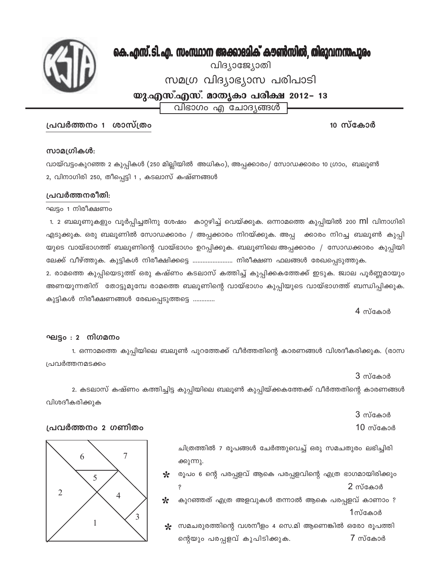

# കെ. എസ്. ടി. എ. സംസ്ഥാന അക്കാദമിക് കൗൺസിൽ, തിരുവനന്തപുരം

വിദ്യാജ്യോതി

സമഗ്ര വിദ്യാഭ്യാസ പരിപാടി

യു.എസ്.എസ്. മാതൃകാ പരീക്ഷ 2012– 13

വിഭാഗം എ ചോദ്യങ്ങൾ

## പ്രവർത്തനം 1 ശാസ്ത്രം

10 സ്കോർ

### സാമഗ്രികൾ:

വായ്വട്ടംകുറഞ്ഞ 2 കുപ്പികൾ (250 മില്ലിയിൽ അധികം), അപ്പക്കാരം/ സോഡക്കാരം 10 ഗ്രാം, ബലൂൺ 2, വിനാഗിരി 250, തീപ്പെട്ടി 1 , കടലാസ് കഷ്ണങ്ങൾ

## പ്രവർത്തനരീതി:

### ഘട്ടം 1 നിരീക്ഷണം

1. 2 ബലൂണുകളും വൂർപ്പിച്ചതിനു ശേഷം കാറ്റഴിച്ച് വെയ്ക്കുക. ഒന്നാമത്തെ കുപ്പിയിൽ 200 **Ml** വിനാഗിരി എടുക്കുക. ഒരു ബലൂണിൽ സോഡക്കാരം / അപ്പക്കാരം നിറയ്ക്കുക. അപ്പ ക്കാരം നിറച്ച ബലൂൺ കുപ്പി യുടെ വായ്ഭാഗത്ത് ബലൂണിന്റെ വായ്ഭാഗം ഉറപ്പിക്കുക. ബലൂണിലെ അപ്പക്കാരം / സോഡക്കാരം കുപ്പിയി ലേക്ക് വീഴ്ത്തുക. കുട്ടികൾ നിരീക്ഷിക്കട്ടെ ........................ നിരീക്ഷണ ഫലങ്ങൾ രേഖപ്പെടുത്തുക. 2. രാമത്തെ കുപ്പിയെടുത്ത് ഒരു കഷ്ണം കടലാസ് കത്തിച്ച് കുപ്പിക്കകത്തേക്ക് ഇടുക. ജ്വാല പൂർണ്ണമായും അണയുന്നതിന് തോട്ടുമുമ്പേ രാമത്തെ ബലൂണിന്റെ വായ്ഭാഗം കുപ്പിയുടെ വായ്ഭാഗത്ത് ബന്ധിപ്പിക്കുക. കുട്ടികൾ നിരീക്ഷണങ്ങൾ രേഖപ്പെടുത്തട്ടെ .............

 $4$  സ്കോർ

## ഘട്ടം : 2 നിഗമനം

1. ഒന്നാമത്തെ കുപ്പിയിലെ ബലൂൺ പുറത്തേക്ക് വീർത്തതിന്റെ കാരണങ്ങൾ വിശദീകരിക്കുക. (രാസ പ്രവർത്തനമടക്കം

 $3$  സ്കോർ

2. കടലാസ് കഷ്ണം കത്തിച്ചിട്ട കുപ്പിയിലെ ബലൂൺ കുപ്പിയ്ക്കകത്തേക്ക് വീർത്തതിന്റെ കാരണങ്ങൾ വിശദീകരിക്കുക

 $3$  സ്കോർ

 $10 \,$ സ്കോർ

ചിത്രത്തിൽ 7 രൂപങ്ങൾ ചേർത്തുവെച്ച് ഒരു സമചതുരം ലഭിച്ചിരി ക്കുന്നു.

രൂപം 6 ന്റെ പരപ്പളവ് ആകെ പരപ്പളവിന്റെ എത്ര ഭാഗമായിരിക്കും  $\star$ 2 സ്കോർ Ş

☆ കുറഞ്ഞത് എത്ര അളവുകൾ തന്നാൽ ആകെ പരപ്പളവ് കാണാം ? 1സ്കോർ

സമചരുരത്തിന്റെ വശനീളം 4 സെ.മി ആണെങ്കിൽ ഒരോ രൂപത്തി ℀ 7 സ്കോർ ന്റെയും പരപ്പളവ് കുപിടിക്കുക.



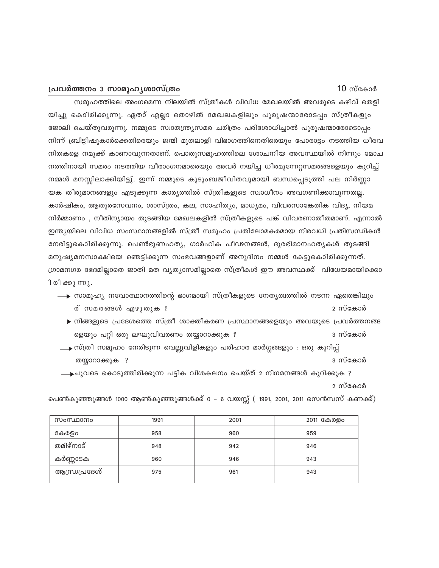#### പ്രവർത്തനം 3 സാമൂഹൃശാസ്ത്രം

 $10 \,$ സ്കോർ

സമൂഹത്തിലെ അംഗമെന്ന നിലയിൽ സ്ത്രീകൾ വിവിധ മേഖലയിൽ അവരുടെ കഴിവ് തെളി യിച്ചു കൊിരിക്കുന്നു. ഏതാ് എല്ലാ തൊഴിൽ മേഖലകളിലും പുരുഷന്മാരോടപ്പം സ്ത്രീകളും ജോലി ചെയ്തുവരുന്നു. നമ്മുടെ സ്വാതന്ത്ര്യസമര ചരിത്രം പരിശോധിച്ചാൽ പുരുഷന്മാരോടൊപ്പം നിന്ന് ബ്രിട്ടീഷുകാർക്കെതിരെയും ജന്മി മുതലാളി വിഭാഗത്തിനെതിരെയും പോരാട്ടം നടത്തിയ ധീരവ നിതകളെ നമുക്ക് കാണാവുന്നതാണ്. പൊതുസമൂഹത്തിലെ ശോചനീയ അവസ്ഥയിൽ നിന്നും മോച നത്തിനായി സമരം നടത്തിയ വീരാംഗനമാരെയും അവർ നയിച്ച ധീരമുന്നേറ്റസമരങ്ങളെയും കുറിച്ച് നമ്മൾ മനസ്സിലാക്കിയിട്ടു്. ഇന്ന് നമ്മുടെ കുടുംബജീവിതവുമായി ബന്ധപ്പെടുത്തി പല നിർണ്ണാ യക തീരുമാനങ്ങളും എടുക്കുന്ന കാര്യത്തിൽ സ്ത്രീകളുടെ സ്വാധീനം അവഗണിക്കാവുന്നതല്ല. കാർഷികം, ആതുരസേവനം, ശാസ്ത്രം, കല, സാഹിത്യം, മാധ്യമം, വിവരസാങ്കേതിക വിദ്യ, നിയമ നിർമ്മാണം , നീതിന്യായം തുടങ്ങിയ മേഖലകളിൽ സ്ത്രീകളുടെ പങ്ക് വിവരണാതീതമാണ്. എന്നാൽ ഇന്ത്യയിലെ വിവിധ സംസ്ഥാനങ്ങളിൽ സ്ത്രീ സമൂഹം പ്രതിലോമകരമായ നിരവധി പ്രതിസന്ധികൾ നേരിട്ടുകൊിരിക്കുന്നു. പെൺഭൂണഹത്യ, ഗാർഹിക പീഢനങ്ങൾ, ദുരഭിമാനഹത്യകൾ തുടങ്ങി മനുഷ്യമനസാക്ഷിയെ ഞെട്ടിക്കുന്ന സംഭവങ്ങളാണ് അനുദിനം നമ്മൾ കേട്ടുകൊിരിക്കുന്നത്. ഗ്രാമനഗര ഭേദമില്ലാതെ ജാതി മത വ്യത്യാസമില്ലാതെ സ്ത്രീകൾ ഈ അവസ്ഥക്ക് വിധേയമായിക്കൊ ി രി ക്കു ന്നു.

- • സാമൂഹ്യ നവോത്ഥാനത്തിന്റെ ഭാഗമായി സ്ത്രീകളുടെ നേതൃത്വത്തിൽ നടന്ന ഏതെങ്കിലും ര് സമരങ്ങൾ എഴുതുക ? 2 സ്കോർ
- $\longrightarrow$  നിങ്ങളുടെ പ്രദേശത്തെ സ്ത്രീ ശാക്തീകരണ പ്രസ്ഥാനങ്ങളെയും അവയുടെ പ്രവർത്തനങ്ങ ളെയും പറ്റി ഒരു ലഘുവിവരണം തയ്യാറാക്കുക ? 3 സ്കോർ
- ം സ്ത്രീ സമൂഹം നേരിടുന്ന വെല്ലുവിളികളും പരിഹാര മാർഗ്ഗങ്ങളും : ഒരു കുറിപ്പ് തയ്യാറാക്കുക ? 3 സ്കോർ
- ചുവടെ കൊടുത്തിരിക്കുന്ന പട്ടിക വിശകലനം ചെയ്ത് 2 നിഗമനങ്ങൾ കുറിക്കുക ? 2 സ്കോർ

പെൺകുഞ്ഞുങ്ങൾ 1000 ആൺകുഞ്ഞുങ്ങൾക്ക് 0 – 6 വയസ്സ് ( 1991, 2001, 2011 സെൻസസ് കണക്ക്)

| 960 | 959 |
|-----|-----|
| 942 | 946 |
| 946 | 943 |
| 961 | 943 |
|     |     |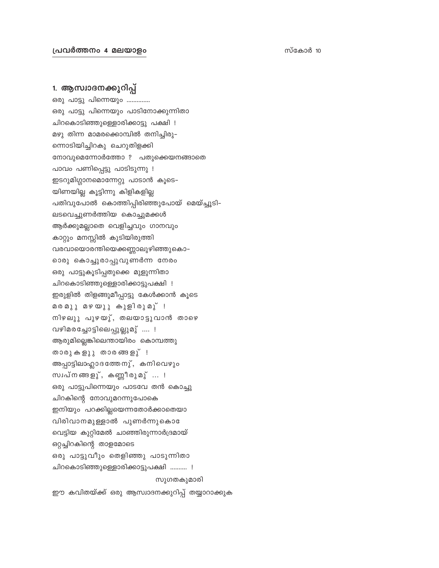## 1. ആസ്വാദനക്കുറിപ്പ്

ഒരു പാട്ടു പിന്നെയും .............. ഒരു പാട്ടു പിന്നെയും പാടിനോക്കുന്നിതാ ചിറകൊടിഞ്ഞുള്ളൊരിക്കാട്ടു പക്ഷി ! മഴു തിന്ന മാമരക്കൊമ്പിൽ തനിച്ചിരു– ന്നൊടിയിച്ചിറകു ചെറുതിളക്കി നോവുമെന്നോർത്തോ ? പതുക്കെയനങ്ങാതെ പാവം പണിപ്പെട്ടു പാടിടുന്നു ! ഇടറുമിഗ്ഗാനമൊന്നേറ്റു പാടാൻ കൂടെ– യിണയില്ല കൂട്ടിന്നു കിളികളില്ല പതിവുപോൽ കൊത്തിപ്പിരിഞ്ഞുപോയ് മെയ്ച്ചൂടി– ലടവെച്ചുണർത്തിയ കൊച്ചുമക്കൾ ആർക്കുമല്ലാതെ വെളിച്ചവും ഗാനവും കാറ്റും മനസ്സിൽ കുടിയിരുത്തി വരവായൊരന്തിയെക്കണ്ണാലുഴിഞ്ഞുകൊ– റൊരു കൊച്ചുരാപ്പുവുണർന്ന നേരം ഒരു പാട്ടുകൂടിപ്പതുക്കെ മുളുന്നിതാ ചിറകൊടിഞ്ഞുള്ളൊരിക്കാട്ടുപക്ഷി ! ഇരുളിൽ തിളങ്ങുമീപ്പാട്ടു കേൾക്കാൻ കൂടെ മരമുു മഴയുു കുളിരുമു് ! നിഴലുു പുഴയു്, തലയാട്ടുവാൻ താഴെ വഴിമരച്ചോട്ടിലെപ്പുല്ലുമു് ....! ആരുമില്ലെങ്കിലെന്തായിരം കൊമ്പത്തു താരുകളുു താരങ്ങളു്! അപ്പാട്ടിലാഹ്ലാദത്തേനു്, കനിവെഴും സ്വപ്നങ്ങളു്, കണ്ണീരുമു് ... ! ഒരു പാട്ടുപിന്നെയും പാടവേ തൻ കൊച്ചു ചിറകിന്റെ നോവുമറന്നുപോകെ ഇനിയും പറക്കില്ലയെന്നതോർക്കാതെയാ വിരിവാനമുള്ളാൽ പുണർന്നുകൊ വെട്ടിയ കുറ്റിമേൽ ചാഞ്ഞിരുന്നാർദ്രമായ് ഒറ്റച്ചിറകിന്റെ താളമോടെ ഒരു പാട്ടുവീും തെളിഞ്ഞു പാടുന്നിതാ ചിറകൊടിഞ്ഞുള്ളൊരിക്കാട്ടുപക്ഷി .......... ! സുഗതകുമാരി

ഈ കവിതയ്ക്ക് ഒരു ആസ്വാദനക്കുറിപ്പ് തയ്യാറാക്കുക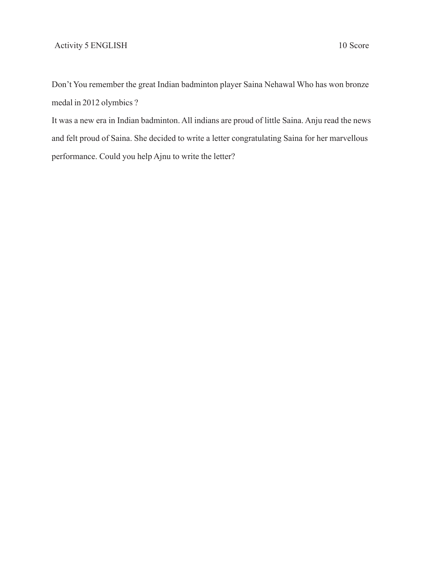Don't You remember the great Indian badminton player Saina Nehawal Who has won bronze medal in 2012 olymbics ?

It was a new era in Indian badminton. All indians are proud of little Saina. Anju read the news and felt proud of Saina. She decided to write a letter congratulating Saina for her marvellous performance. Could you help Ajnu to write the letter?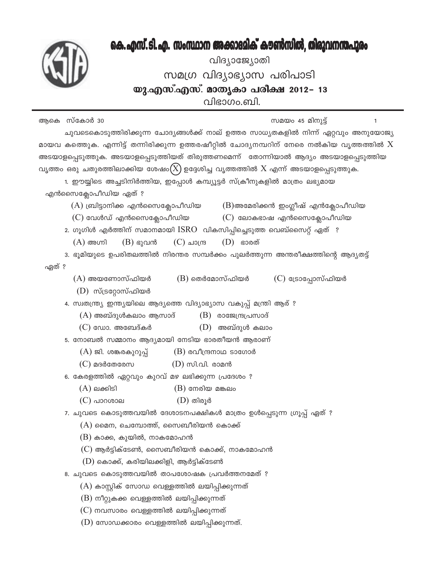# കെ. എസ്. ടി. എ. സംസ്ഥാന അക്കാദമിക് കൗൺസിൽ, തിരുവനന്തപുരം

വിദ്യാജ്യോതി സമഗ്ര വിദ്യാഭ്യാസ പരിപാടി യു.എസ്.എസ്. മാതൃകാ പരീക്ഷ 2012– 13 വിഭാഗം.ബി.

ആകെ സ്കോർ 30 സമയം 45 മിനുട്ട് 1 ചുവടെകൊടുത്തിരിക്കുന്ന ചോദ്യങ്ങൾക്ക് നാല് ഉത്തര സാധ്യതകളിൽ നിന്ന് ഏറ്റവും അനുയോജ്യ മായവ കത്തെുക. എന്നിട്ട് തന്നിരിക്കുന്ന ഉത്തരഷീറ്റിൽ ചോദ്യനമ്പറിന് നേരെ നൽകിയ വൃത്തത്തിൽ  $\rm X$ അടയാളപ്പെടുത്തുക. അടയാളപ്പെടുത്തിയത് തിരുത്തണമെന്ന് തോന്നിയാൽ ആദ്യം അടയാളപ്പെടുത്തിയ വൃത്തം ഒരു ചതുരത്തിലാക്കിയ ശേഷം $(X)$  ഉദ്ദേശിച്ച വൃത്തത്തിൽ  $X$  എന്ന് അടയാളപ്പെടുത്തുക. 1. ഈയ്യിടെ അച്ചടിനിർത്തിയ, ഇപ്പോൾ കമ്പ്യൂട്ടർ സ്ക്രീനുകളിൽ മാത്രം ലഭ്യമായ എൻസൈക്ലോപീഡിയ ഏത് ?  $(A)$  ബ്രിട്ടാനിക്ക എൻസൈക്ലോപീഡിയ  $(B)$ അമേരിക്കൻ ഇംഗ്ലീഷ് എൻക്ലോപീഡിയ  $(C)$  വേൾഡ് എൻസൈക്ലോപീഡിയ  $(C)$  ലോകഭാഷ എൻസൈക്ലോപീഡിയ 2. ഗൂഗിൾ എർത്തിന് സമാനമായി  $\operatorname{ISRO}$  വികസിപ്പിച്ചെടുത്ത വെബ്സൈറ്റ് ഏത് ?  $(D)$  ഭാരത്  $(A)$  അഗ്നി  $(B)$  ഭൂവൻ  $(C)$  ചാന്ദ്ര 3. ഭൂമിയുടെ ഉപരിതലത്തിൽ നിരന്തര സമ്പർക്കം പുലർത്തുന്ന അന്തരീക്ഷത്തിന്റെ ആദ്യതട്ട് ഏത് ?  $(A)$  അയണോസ്ഫിയർ  $(B)$  തെർമോസ്ഫിയർ (C) ട്രോപ്പോസ്ഫിയർ  $(D)$  സ്ട്രറ്റോസ്ഫിയർ 4. സ്വതന്ത്ര്യ ഇന്ത്യയിലെ ആദ്യത്തെ വിദ്യാഭ്യാസ വകുപ്പ് മന്ത്രി ആര് ?  $(A)$  അബ്ദുൾകലാം ആസാദ്  $(B)$  രാജേന്ദ്രപ്രസാദ്  $(C)$  ഡോ. അബേദ്കർ (D) അബ്ദുൾ കലാം 5. നോബൽ സമ്മാനം ആദ്യമായി നേടിയ ഭാരതീയൻ ആരാണ്  $(A)$  ജി. ശങ്കരകുറുപ്പ്  $(B)$  രവീന്ദ്രനാഥ ടാഗോർ  $(C)$  മദർതേരേസ  $(D)$  സി.വി. രാമൻ 6. കേരളത്തിൽ ഏറ്റവും കുറവ് മഴ ലഭിക്കുന്ന പ്രദേശം ?  $(A)$  ലക്കിടി  $(B)$  നേരിയ മങ്കലം  $(D)$  തിരൂർ  $(C)$  പാറശാല 7. ചുവടെ കൊടുത്തവയിൽ ദേശാടനപക്ഷികൾ മാത്രം ഉൾപ്പെടുന്ന ഗ്രൂപ്പ് ഏത് ?  $(A)$  മൈന, ചെമ്പോത്ത്, സൈബീരിയൻ കൊക്ക്  $(B)$  കാക്ക, കുയിൽ, നാകമോഹൻ  $(C)$  ആർട്ടിക്ടേൺ, സൈബീരിയൻ കൊക്ക്, നാകമോഹൻ  $(D)$  കൊക്ക്, കരിയിലക്കിളി, ആർട്ടിക്ടേൺ 8. ചുവടെ കൊടുത്തവയിൽ താപശോഷക പ്രവർത്തനമേത് ?  $(A)$  കാസ്റ്റിക് സോഡ വെള്ളത്തിൽ ലയിപ്പിക്കുന്നത്  $(B)$  നീറ്റുകക്ക വെള്ളത്തിൽ ലയിപ്പിക്കുന്നത്  $(C)$  നവസാരം വെള്ളത്തിൽ ലയിപ്പിക്കുന്നത്  $(D)$  സോഡക്കാരം വെള്ളത്തിൽ ലയിപ്പിക്കുന്നത്.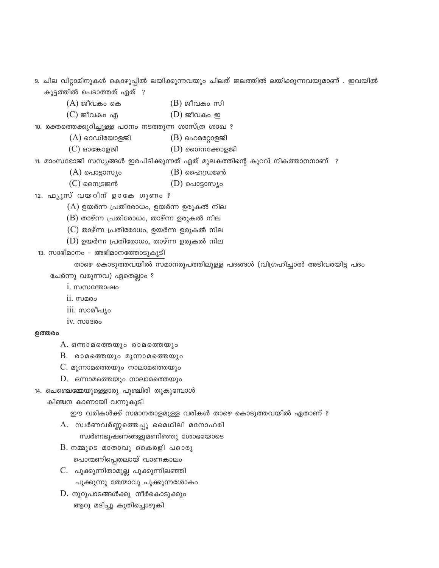9. ചില വിറ്റാമിനുകൾ കൊഴുപ്പിൽ ലയിക്കുന്നവയും ചിലത് ജലത്തിൽ ലയിക്കുന്നവയുമാണ് . ഇവയിൽ കൂട്ടത്തിൽ പെടാത്തത് ഏത് ?

- $(A)$  ജീവകം കെ  $(B)$  ജീവകം സി
- $(C)$  ജീവകം എ  $(D)$  ജീവകം ഇ

10. രക്തത്തെക്കുറിച്ചുള്ള പഠനം നടത്തുന്ന ശാസ്ത്ര ശാഖ ?

- $(A)$  റെഡിയോളജി  $(B)$  ഹെമറ്റോളജി
- $(C)$  ഓങ്കോളജി  $(D)$  ഗൈനക്കോളജി

11. മാംസഭോജി സസ്യങ്ങൾ ഇരപിടിക്കുന്നത് ഏത് മൂലകത്തിന്റെ കുറവ് നികത്താനനാണ് ?

- $(A)$  പൊട്ടാസ്യം  $(B)$  ഹൈഡ്രജൻ
- $(C)$  സൈട്രജൻ  $(D)$  പൊട്ടാസ്യം

12. ഫ്യൂസ് വയറിന് ഉാകേ ഗുണം ?

 $(A)$  ഉയർന്ന പ്രതിരോധം, ഉയർന്ന ഉരുകൽ നില

- $(B)$  താഴ്ന്ന പ്രതിരോധം, താഴ്ന്ന ഉരുകൽ നില
- $(C)$  താഴ്ന്ന പ്രതിരോധം, ഉയർന്ന ഉരുകൽ നില
- $(D)$  ഉയർന്ന പ്രതിരോധം, താഴ്ന്ന ഉരുകൽ നില
- 13. സാഭിമാനം അഭിമാനത്തോടുകൂടി

താഴെ കൊടുത്തവയിൽ സമാനരൂപത്തിലുള്ള പദങ്ങൾ (വിഗ്രഹിച്ചാൽ അടിവരയിട്ട പദം ചേർന്നു വരുന്നവ) ഏതെല്ലാം ?

- i. സസന്തോഷം
- 11. mano
- 111. സാമീപ്യം
- IV. MOBRO

#### ഉത്തരം

 $A.$  ഒന്നാമത്തെയും രാമത്തെയും

- $B.$  രാമത്തെയും മൂന്നാമത്തെയും
- $C.$  മൂന്നാമത്തെയും നാലാമത്തെയും
- $D.$  ഒന്നാമത്തെയും നാലാമത്തെയും
- 14. ചെഞ്ചെമ്മേയുള്ളൊരു പുഞ്ചിരി തൂകുമ്പോൾ

കിഞ്ചന കാണായി വന്നുകൂടി

ഈ വരികൾക്ക് സമാനതാളമുള്ള വരികൾ താഴെ കൊടുത്തവയിൽ ഏതാണ് ?

- A. സ്വർണവർണ്ണത്തെപ്പൂ മൈഥിലി മനോഹരി
	- സ്വർണഭൂഷണങ്ങളുമണിഞ്ഞു ശോഭയോടെ
- $B$ . നമ്മുടെ മാതാവു കൈരളി പഠൊരു പൊന്മണിപ്പെതലായ് വാണകാലം
- C. പൂക്കുന്നിതാമുല്ല പൂക്കുന്നിലഞ്ഞി പൂക്കുന്നു തേന്മാവു പൂക്കുന്നശോകം
- $D$ . നൂറുപാടങ്ങൾക്കു നീർകൊടുക്കും ആറു മദിച്ചു കുതിച്ചൊഴുകി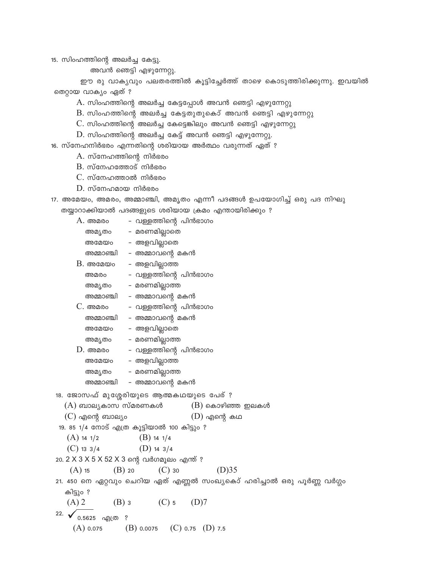15. സിംഹത്തിന്റെ അലർച്ച കേട്ടു.

അവൻ ഞെട്ടി എഴുന്നേറ്റു.

ഈ രു വാക്യവും പലതരത്തിൽ കൂട്ടിച്ചേർത്ത് താഴെ കൊടുത്തിരിക്കുന്നു. ഇവയിൽ തെറ്റായ വാക്യം ഏത് ?

A. സിംഹത്തിന്റെ അലർച്ച കേട്ടപ്പോൾ അവൻ ഞെട്ടി എഴുന്നേറ്റു

- $B$ . സിംഹത്തിന്റെ അലർച്ച കേട്ടതുതുകൊ് അവൻ ഞെട്ടി എഴുന്നേറ്റു
- $C$ . സിംഹത്തിന്റെ അലർച്ച കേട്ടെങ്കിലും അവൻ ഞെട്ടി എഴുന്നേറ്റു
- $D$ . സിംഹത്തിന്റെ അലർച്ച കേട്ട് അവൻ ഞെട്ടി എഴുന്നേറ്റു.

16. സ്നേഹനിർഭരം എന്നതിന്റെ ശരിയായ അർത്ഥം വരുന്നത് ഏത് ?

A. സ്നേഹത്തിന്റെ നിർഭരം

- $B.$  സ്നേഹത്തോട് നിർഭരം
- $C.$  സ്നേഹത്താൽ നിർഭരം
- $D.$  സ്നേഹമായ നിർഭരം

|  |                                                        |  | 17. അമേയം, അമരം, അമ്മാഞ്ചി, അമൃതം എന്നീ പദങ്ങൾ ഉപയോഗിച്ച് ഒരു പദ നിഘു |  |  |
|--|--------------------------------------------------------|--|-----------------------------------------------------------------------|--|--|
|  | തയ്യാറാക്കിയാൽ പദങ്ങളുടെ ശരിയായ ക്രമം എന്തായിരിക്കും ? |  |                                                                       |  |  |

 $A.$  അമരം - വള്ളത്തിന്റെ പിൻഭാഗം - മരണമില്ലാതെ അമ്യതം അമേയം – അളവില്ലാതെ - അമ്മാവന്റെ മകൻ അമ്മാഞ്ചി  $B.$  അമേയം - അളവില്ലാത്ത - വള്ളത്തിന്റെ പിൻഭാഗം അമരം അമ്യതം – മരണമില്ലാത്ത അമ്മാഞ്ചി – അമ്മാവന്റെ മകൻ  $C.$  അമരം - വള്ളത്തിന്റെ പിൻഭാഗം അമ്മാഞ്ചി – അമ്മാവന്റെ മകൻ – അളവില്ലാതെ അമേയം – മരണമില്ലാത്ത അമ്യതം  $D.$  അമരം – വള്ളത്തിന്റെ പിൻഭാഗം - അളവില്ലാത്ത അമേയം - മരണമില്ലാത്ത അമ്യതം അമ്മാഞ്ചി – അമ്മാവന്റെ മകൻ 18. ജോസഫ് മുശ്ശേരിയുടെ ആത്മകഥയുടെ പേര് ?  $(A)$  ബാല്യകാസ സ്മരണകൾ  $(B)$  കൊഴിഞ്ഞ ഇലകൾ  $(C)$  എന്റെ ബാല്യം  $(D)$  എന്റെ കഥ 19. 85 1/4 നോട് എത്ര കൂട്ടിയാൽ 100 കിട്ടും ?  $(A)$  14 1/2  $(B)$  14 1/4  $(C)$  13 3/4  $(D)$  14 3/4 20. 2 X 3 X 5 X 52 X 3 ന്റെ വർഗമൂലം എന്ത് ?  $(A)$  15  $(B)$  20  $(C)$  30  $(D)35$ 

21. 450 നെ ഏറ്റവും ചെറിയ ഏത് എണ്ണൽ സംഖ്യകൊ് ഹരിച്ചാൽ ഒരു പൂർണ്ണ വർഗ്ഗം കിട്ടും ?

 $(A)$  2  $(B)$  3  $(C)$  5  $(D)7$ 

22.  $\bigvee$  0.5625 ag(00 ?  $(A)$  0.075  $(B)$  0.0075  $(C)$  0.75  $(D)$  7.5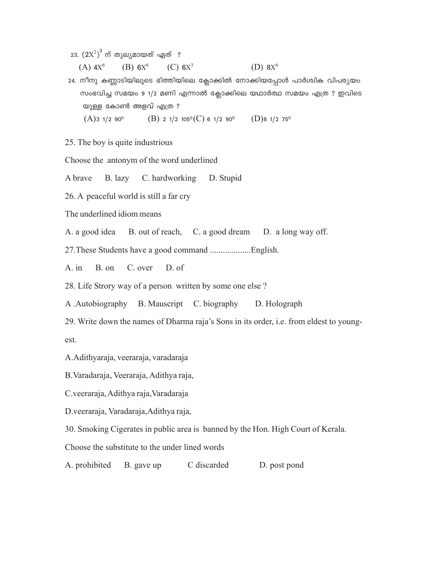23.  $\left( 2\text{X}^2 \right)^3$  ന് തുല്യമായത് ഏത്  $\,$  ?

(A)  $4X^6$  (B)  $6X^6$  (C)  $6X^3$  (D)  $8X^6$ 

24. നീനു കണ്ണാടിയിലൂടെ ഭിത്തിയിലെ ക്ലോക്കിൽ നോക്കിയപ്പോൾ പാർശ്വിക വിപര്യയം സംഭവിച്ച സമയം 9 1/2 മണി എന്നാൽ ക്ലോക്കിലെ യഥാർത്ഥ സമയം എത്ര ? ഇവിടെ യുള്ള കോൺ അളവ് എത്ര $\cdot$  $(A)$ 3 1/2 90<sup>0</sup> (B) 2 1/2 105<sup>0</sup>(C) 6 1/2 90<sup>0</sup> (D)8 1/2 75<sup>0</sup>

25. The boy is quite industrious

Choose the antonym of the word underlined

A brave B. lazy C. hardworking D. Stupid

26. A peaceful world is still a far cry

The underlined idiom means

A. a good idea B. out of reach, C. a good dream D. a long way off.

27.These Students have a good command ...................English.

A. in B. on C. over D. of

28. Life Strory way of a person written by some one else ?

A .Autobiography B. Mauscript C. biography D. Holograph

29. Write down the names of Dharma raja's Sons in its order, i.e. from eldest to youngest.

A.Adithyaraja, veeraraja, varadaraja

B.Varadaraja, Veeraraja, Adithya raja,

C.veeraraja, Adithya raja,Varadaraja

D.veeraraja, Varadaraja,Adithya raja,

30. Smoking Cigerates in public area is banned by the Hon. High Court of Kerala.

Choose the substitute to the under lined words

A. prohibited B. gave up C discarded D. post pond